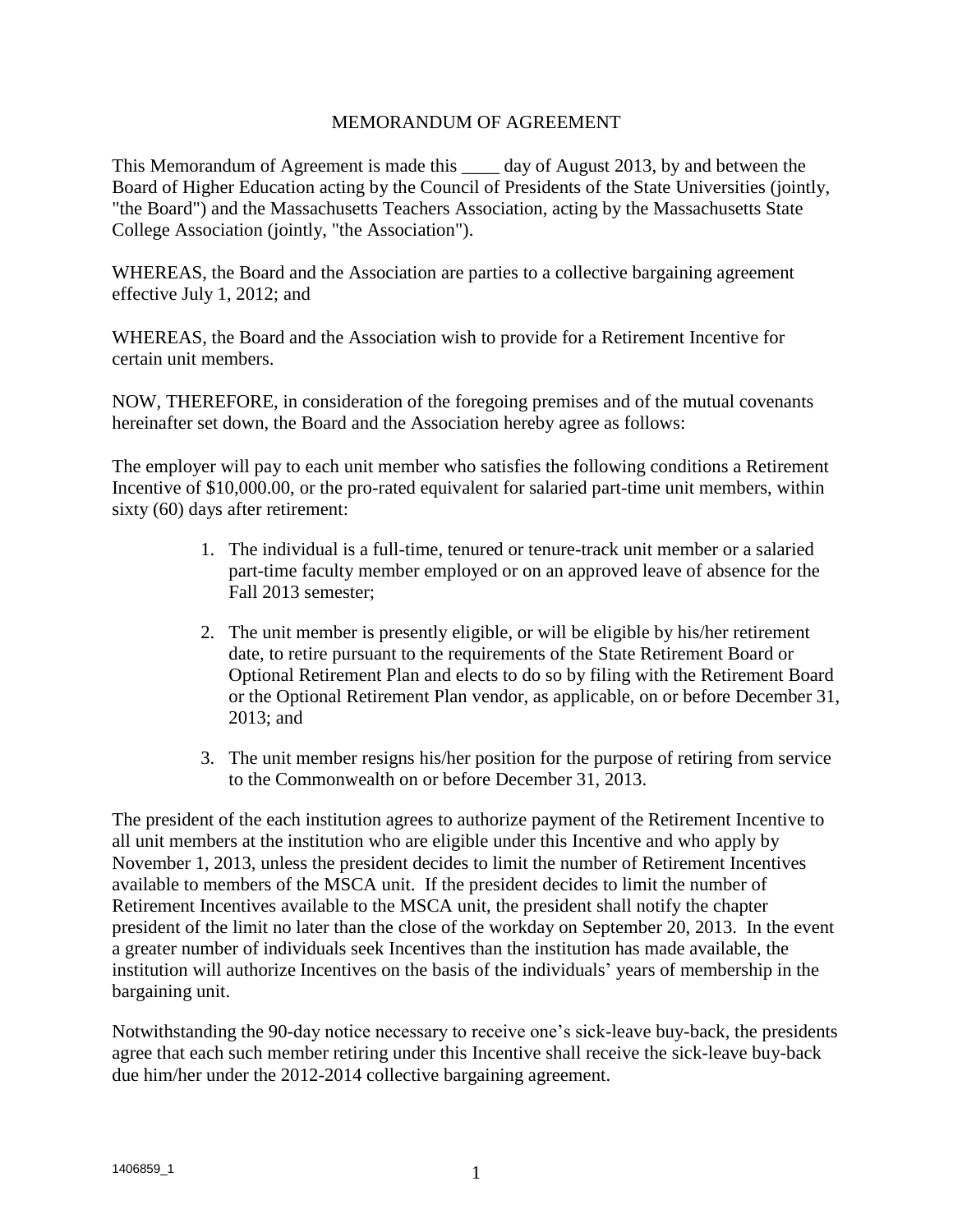## MEMORANDUM OF AGREEMENT

This Memorandum of Agreement is made this \_\_\_\_ day of August 2013, by and between the Board of Higher Education acting by the Council of Presidents of the State Universities (jointly, "the Board") and the Massachusetts Teachers Association, acting by the Massachusetts State College Association (jointly, "the Association").

WHEREAS, the Board and the Association are parties to a collective bargaining agreement effective July 1, 2012; and

WHEREAS, the Board and the Association wish to provide for a Retirement Incentive for certain unit members.

NOW, THEREFORE, in consideration of the foregoing premises and of the mutual covenants hereinafter set down, the Board and the Association hereby agree as follows:

The employer will pay to each unit member who satisfies the following conditions a Retirement Incentive of \$10,000.00, or the pro-rated equivalent for salaried part-time unit members, within sixty (60) days after retirement:

- 1. The individual is a full-time, tenured or tenure-track unit member or a salaried part-time faculty member employed or on an approved leave of absence for the Fall 2013 semester;
- 2. The unit member is presently eligible, or will be eligible by his/her retirement date, to retire pursuant to the requirements of the State Retirement Board or Optional Retirement Plan and elects to do so by filing with the Retirement Board or the Optional Retirement Plan vendor, as applicable, on or before December 31, 2013; and
- 3. The unit member resigns his/her position for the purpose of retiring from service to the Commonwealth on or before December 31, 2013.

The president of the each institution agrees to authorize payment of the Retirement Incentive to all unit members at the institution who are eligible under this Incentive and who apply by November 1, 2013, unless the president decides to limit the number of Retirement Incentives available to members of the MSCA unit. If the president decides to limit the number of Retirement Incentives available to the MSCA unit, the president shall notify the chapter president of the limit no later than the close of the workday on September 20, 2013. In the event a greater number of individuals seek Incentives than the institution has made available, the institution will authorize Incentives on the basis of the individuals' years of membership in the bargaining unit.

Notwithstanding the 90-day notice necessary to receive one's sick-leave buy-back, the presidents agree that each such member retiring under this Incentive shall receive the sick-leave buy-back due him/her under the 2012-2014 collective bargaining agreement.